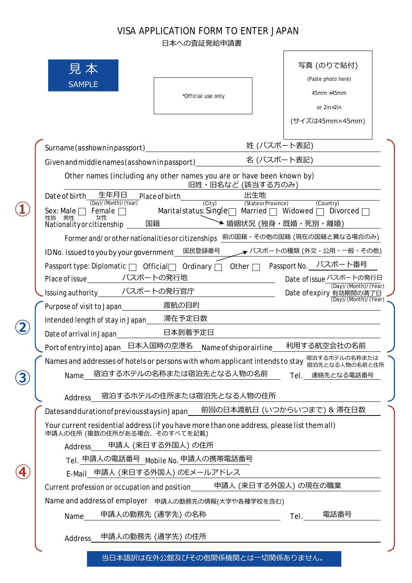## VISA APPLICATION FORM TO ENTER JAPAN

日本への査証発給申請書

|   | 見 本<br><b>SAMPLE</b><br>*Official use only                                                                                                                                                                                                                  | 写真 (のりで貼付)<br>(Paste photo here)<br>$45$ mm $\times$ 45mm<br>or 2in×2in<br>(サイズは45mm×45mm) |  |  |
|---|-------------------------------------------------------------------------------------------------------------------------------------------------------------------------------------------------------------------------------------------------------------|--------------------------------------------------------------------------------------------|--|--|
|   | 姓 (パスポート表記)<br>Surname (asshown in passport)                                                                                                                                                                                                                |                                                                                            |  |  |
|   | 名 (パスポート表記)<br>Given and middle names (as shown in passport)_____                                                                                                                                                                                           |                                                                                            |  |  |
|   | Other names (including any other names you are or have been known by)<br>旧姓・旧名など (該当する方のみ)                                                                                                                                                                  |                                                                                            |  |  |
|   | 生年月日<br>出生地<br>Date of birth<br>Place of birth<br>(City)                                                                                                                                                                                                    |                                                                                            |  |  |
|   | (Day)/(Month)/(Year)<br>(StateorProvince)<br>(Country)<br>Maritalstatus: Single $\Box$ Married $\Box$ Widowed $\Box$<br>Sex: Male $\Box$ Female $\Box$<br>Divorced $\Box$<br>男性<br>女性<br>性別<br>国籍 → ヘン 〜 〜 婚姻状況 (独身・既婚・死別・離婚)<br>Nationality or citizenship |                                                                                            |  |  |
|   | Former and/or other nationalities or citizenships 向の国籍·その他の国籍 (現在の国籍と異なる場合のみ)                                                                                                                                                                               |                                                                                            |  |  |
|   | ID No. issued to you by your government <u>L国民</u> 登録番号                                                                                                                                                                                                     | → パスポートの種類 (外交・公用・一般・その他)                                                                  |  |  |
|   | Passport type: Diplomatic □ Official □ Ordinary □ Other □ Passport No. ノ パスポート番号                                                                                                                                                                            |                                                                                            |  |  |
|   | Place of issue_______ パスポートの発行地                                                                                                                                                                                                                             | Date of issue パスポートの発行日                                                                    |  |  |
|   | Issuing authority_______ パスポートの発行官庁                                                                                                                                                                                                                         | (Day)/(Month)/(Year)<br>Date of expiry 有効期間の満了日                                            |  |  |
|   | 渡航の目的<br>Purpose of visit to Japan                                                                                                                                                                                                                          |                                                                                            |  |  |
|   | Intended length of stay in Japan____ 滞在予定日数                                                                                                                                                                                                                 |                                                                                            |  |  |
|   | Date of arrival in Japan_________________日本到着予定日                                                                                                                                                                                                            |                                                                                            |  |  |
|   | Port of entry into Japan 日本入国時の空港名 Name of ship or airline 利用する航空会社の名前                                                                                                                                                                                      |                                                                                            |  |  |
|   | Names and addresses of hotels or persons with whom applicant intends to stay 宿泊するホテルの名称または                                                                                                                                                                  |                                                                                            |  |  |
|   | 宿泊するホテルの名称または宿泊先となる人物の名前<br>Name                                                                                                                                                                                                                            | Tel. 連絡先となる電話番号                                                                            |  |  |
|   | 宿泊するホテルの住所または宿泊先となる人物の住所                                                                                                                                                                                                                                    |                                                                                            |  |  |
|   | Address<br>前回の日本渡航日 (いつからいつまで) & 滞在日数                                                                                                                                                                                                                       |                                                                                            |  |  |
|   | Datesandduration of previousstays in Japan<br>Your current residential address (if you have more than one address, please list them all)                                                                                                                    |                                                                                            |  |  |
|   | 申請人の住所 (複数の住所がある場合、そのすべてを記載)<br>申請人 (来日する外国人) の住所                                                                                                                                                                                                           |                                                                                            |  |  |
|   | Address<br>Tel. 申請人の電話番号 Mobile No. 申請人の携帯電話番号                                                                                                                                                                                                              |                                                                                            |  |  |
| 4 | E-Mail 申請人 (来日する外国人) のEメールアドレス                                                                                                                                                                                                                              |                                                                                            |  |  |
|   | Current profession or occupation and position______申請人 (来日する外国人) の現在の職業                                                                                                                                                                                     |                                                                                            |  |  |
|   | Name and address of employer 申請人の勤務先の情報(大学や各種学校を含む)                                                                                                                                                                                                         |                                                                                            |  |  |
|   | 申請人の勤務先 (通学先) の名称<br>Name                                                                                                                                                                                                                                   | 電話番号<br>Tel.                                                                               |  |  |
|   | 申請人の勤務先 (通学先) の住所<br>Address                                                                                                                                                                                                                                |                                                                                            |  |  |
|   |                                                                                                                                                                                                                                                             |                                                                                            |  |  |
|   | 当日本語訳は在外公館及びその他関係機関とは一切関係ありません。                                                                                                                                                                                                                             |                                                                                            |  |  |